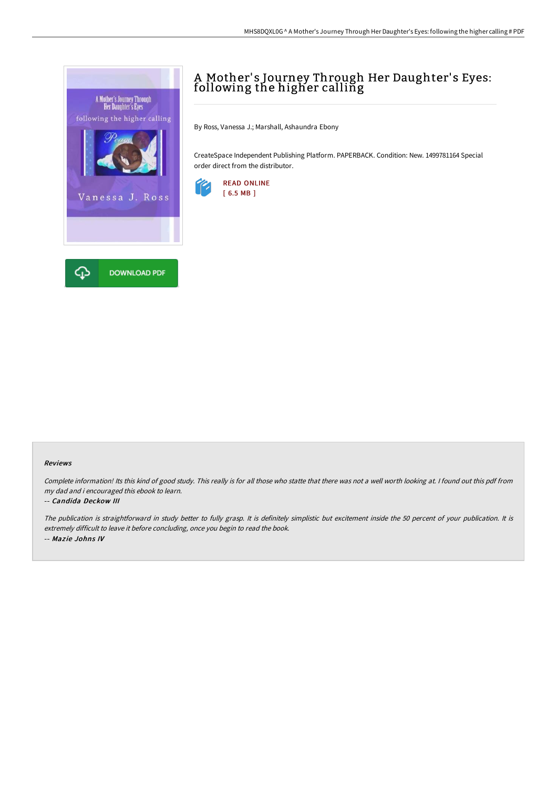

# A Mother' s Journey Through Her Daughter' s Eyes: following the higher calling

By Ross, Vanessa J.; Marshall, Ashaundra Ebony

CreateSpace Independent Publishing Platform. PAPERBACK. Condition: New. 1499781164 Special order direct from the distributor.



### Reviews

Complete information! Its this kind of good study. This really is for all those who statte that there was not <sup>a</sup> well worth looking at. <sup>I</sup> found out this pdf from my dad and i encouraged this ebook to learn.

#### -- Candida Deckow III

The publication is straightforward in study better to fully grasp. It is definitely simplistic but excitement inside the <sup>50</sup> percent of your publication. It is extremely difficult to leave it before concluding, once you begin to read the book. -- Maz ie Johns IV